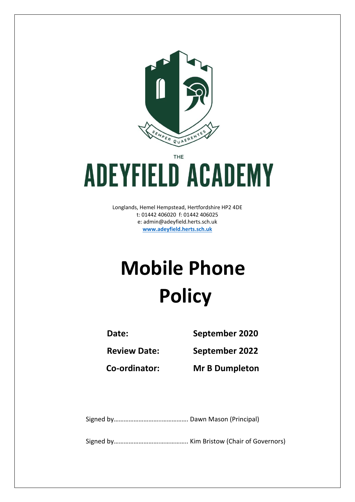

THE

# **ADEYFIELD ACADEMY**

Longlands, Hemel Hempstead, Hertfordshire HP2 4DE t: 01442 406020 f: 01442 406025 e: [admin@adeyfield.herts.sch.uk](mailto:admin@adeyfield.herts.sch.uk) **[www.adeyfield.herts.sch.uk](http://www.adeyfield.herts.sch.uk/)**

# **Mobile Phone Policy**

**Date: September 2020**

**Review Date: September 2022**

**Co-ordinator: Mr B Dumpleton**

Signed by………………………..……………. Dawn Mason (Principal)

Signed by……………………….…………….. Kim Bristow (Chair of Governors)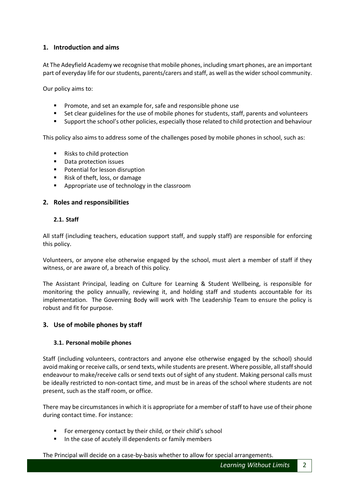# **1. Introduction and aims**

At The Adeyfield Academy we recognise that mobile phones, including smart phones, are an important part of everyday life for our students, parents/carers and staff, as well as the wider school community.

Our policy aims to:

- **Promote, and set an example for, safe and responsible phone use**
- **Set clear guidelines for the use of mobile phones for students, staff, parents and volunteers**
- Support the school's other policies, especially those related to child protection and behaviour

This policy also aims to address some of the challenges posed by mobile phones in school, such as:

- Risks to child protection
- Data protection issues
- **Potential for lesson disruption**
- Risk of theft, loss, or damage
- **Appropriate use of technology in the classroom**

#### **2. Roles and responsibilities**

#### **2.1. Staff**

All staff (including teachers, education support staff, and supply staff) are responsible for enforcing this policy.

Volunteers, or anyone else otherwise engaged by the school, must alert a member of staff if they witness, or are aware of, a breach of this policy.

The Assistant Principal, leading on Culture for Learning & Student Wellbeing, is responsible for monitoring the policy annually, reviewing it, and holding staff and students accountable for its implementation. The Governing Body will work with The Leadership Team to ensure the policy is robust and fit for purpose.

# **3. Use of mobile phones by staff**

#### **3.1. Personal mobile phones**

Staff (including volunteers, contractors and anyone else otherwise engaged by the school) should avoid making or receive calls, or send texts, while students are present. Where possible, all staff should endeavour to make/receive calls or send texts out of sight of any student. Making personal calls must be ideally restricted to non-contact time, and must be in areas of the school where students are not present, such as the staff room, or office.

There may be circumstances in which it is appropriate for a member of staff to have use of their phone during contact time. For instance:

- For emergency contact by their child, or their child's school
- In the case of acutely ill dependents or family members

The Principal will decide on a case-by-basis whether to allow for special arrangements.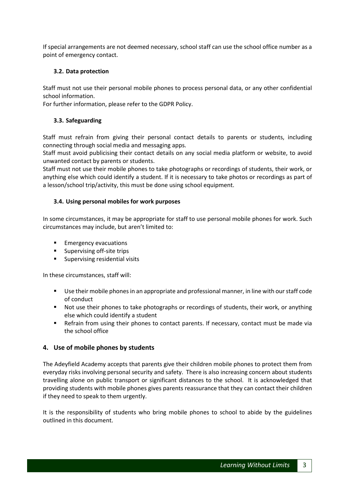If special arrangements are not deemed necessary, school staff can use the school office number as a point of emergency contact.

#### **3.2. Data protection**

Staff must not use their personal mobile phones to process personal data, or any other confidential school information.

For further information, please refer to the GDPR Policy.

#### **3.3. Safeguarding**

Staff must refrain from giving their personal contact details to parents or students, including connecting through social media and messaging apps.

Staff must avoid publicising their contact details on any social media platform or website, to avoid unwanted contact by parents or students.

Staff must not use their mobile phones to take photographs or recordings of students, their work, or anything else which could identify a student. If it is necessary to take photos or recordings as part of a lesson/school trip/activity, this must be done using school equipment.

#### **3.4. Using personal mobiles for work purposes**

In some circumstances, it may be appropriate for staff to use personal mobile phones for work. Such circumstances may include, but aren't limited to:

- Emergency evacuations
- **Supervising off-site trips**
- **Supervising residential visits**

In these circumstances, staff will:

- Use their mobile phones in an appropriate and professional manner, in line with our staff code of conduct
- Not use their phones to take photographs or recordings of students, their work, or anything else which could identify a student
- Refrain from using their phones to contact parents. If necessary, contact must be made via the school office

# **4. Use of mobile phones by students**

The Adeyfield Academy accepts that parents give their children mobile phones to protect them from everyday risks involving personal security and safety. There is also increasing concern about students travelling alone on public transport or significant distances to the school. It is acknowledged that providing students with mobile phones gives parents reassurance that they can contact their children if they need to speak to them urgently.

It is the responsibility of students who bring mobile phones to school to abide by the guidelines outlined in this document.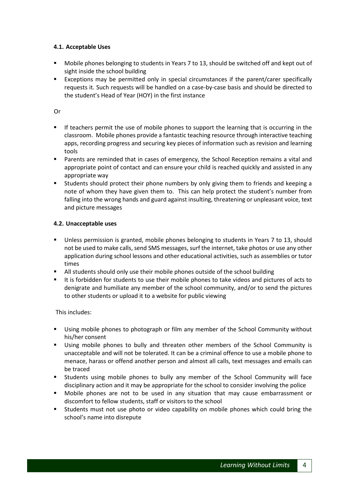#### **4.1. Acceptable Uses**

- Mobile phones belonging to students in Years 7 to 13, should be switched off and kept out of sight inside the school building
- Exceptions may be permitted only in special circumstances if the parent/carer specifically requests it. Such requests will be handled on a case-by-case basis and should be directed to the student's Head of Year (HOY) in the first instance

Or

- If teachers permit the use of mobile phones to support the learning that is occurring in the classroom. Mobile phones provide a fantastic teaching resource through interactive teaching apps, recording progress and securing key pieces of information such as revision and learning tools
- Parents are reminded that in cases of emergency, the School Reception remains a vital and appropriate point of contact and can ensure your child is reached quickly and assisted in any appropriate way
- **Students should protect their phone numbers by only giving them to friends and keeping a** note of whom they have given them to. This can help protect the student's number from falling into the wrong hands and guard against insulting, threatening or unpleasant voice, text and picture messages

# **4.2. Unacceptable uses**

- Unless permission is granted, mobile phones belonging to students in Years 7 to 13, should not be used to make calls, send SMS messages, surf the internet, take photos or use any other application during school lessons and other educational activities, such as assemblies or tutor times
- All students should only use their mobile phones outside of the school building
- It is forbidden for students to use their mobile phones to take videos and pictures of acts to denigrate and humiliate any member of the school community, and/or to send the pictures to other students or upload it to a website for public viewing

This includes:

- Using mobile phones to photograph or film any member of the School Community without his/her consent
- Using mobile phones to bully and threaten other members of the School Community is unacceptable and will not be tolerated. It can be a criminal offence to use a mobile phone to menace, harass or offend another person and almost all calls, text messages and emails can be traced
- Students using mobile phones to bully any member of the School Community will face disciplinary action and it may be appropriate for the school to consider involving the police
- Mobile phones are not to be used in any situation that may cause embarrassment or discomfort to fellow students, staff or visitors to the school
- **EXECT** Students must not use photo or video capability on mobile phones which could bring the school's name into disrepute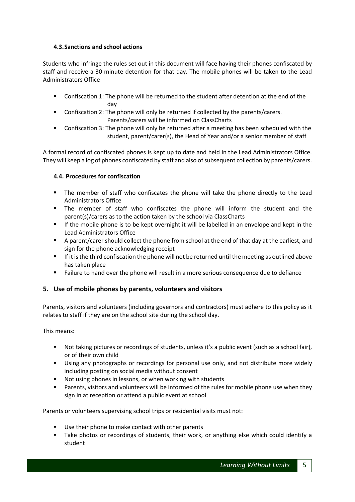# **4.3.Sanctions and school actions**

Students who infringe the rules set out in this document will face having their phones confiscated by staff and receive a 30 minute detention for that day. The mobile phones will be taken to the Lead Administrators Office

- Confiscation 1: The phone will be returned to the student after detention at the end of the day
- Confiscation 2: The phone will only be returned if collected by the parents/carers. Parents/carers will be informed on ClassCharts
- Confiscation 3: The phone will only be returned after a meeting has been scheduled with the student, parent/carer(s), the Head of Year and/or a senior member of staff

A formal record of confiscated phones is kept up to date and held in the Lead Administrators Office. They will keep a log of phones confiscated by staff and also of subsequent collection by parents/carers.

# **4.4. Procedures for confiscation**

- The member of staff who confiscates the phone will take the phone directly to the Lead Administrators Office
- The member of staff who confiscates the phone will inform the student and the parent(s)/carers as to the action taken by the school via ClassCharts
- **If the mobile phone is to be kept overnight it will be labelled in an envelope and kept in the** Lead Administrators Office
- A parent/carer should collect the phone from school at the end of that day at the earliest, and sign for the phone acknowledging receipt
- If it is the third confiscation the phone will not be returned until the meeting as outlined above has taken place
- Failure to hand over the phone will result in a more serious consequence due to defiance

# **5. Use of mobile phones by parents, volunteers and visitors**

Parents, visitors and volunteers (including governors and contractors) must adhere to this policy as it relates to staff if they are on the school site during the school day.

This means:

- Not taking pictures or recordings of students, unless it's a public event (such as a school fair), or of their own child
- Using any photographs or recordings for personal use only, and not distribute more widely including posting on social media without consent
- Not using phones in lessons, or when working with students
- Parents, visitors and volunteers will be informed of the rules for mobile phone use when they sign in at reception or attend a public event at school

Parents or volunteers supervising school trips or residential visits must not:

- Use their phone to make contact with other parents
- Take photos or recordings of students, their work, or anything else which could identify a student